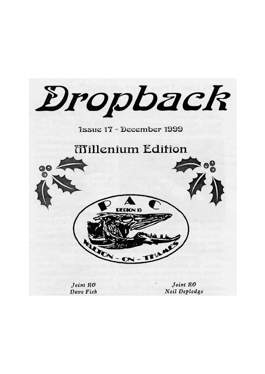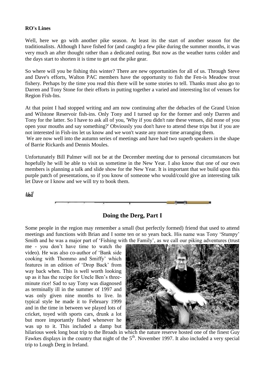#### **RO's Lines**

Well, here we go with another pike season. At least its the start of another season for the traditionalists. Although I have fished for (and caught) a few pike during the summer months, it was very much an after thought rather than a dedicated outing. But now as the weather turns colder and the days start to shorten it is time to get out the pike gear.

So where will you be fishing this winter? There are new opportunities for all of us. Through Steve and Dave's efforts, Walton PAC members have the opportunity to fish the Fen-is Meadow trout fishery. Perhaps by the time you read this there will be some stories to tell. Thanks must also go to Darren and Tony Stone for their efforts in putting together a varied and interesting list of venues for Region Fish-Ins.

At that point I had stopped writing and am now continuing after the debacles of the Grand Union and Wilstone Reservoir fish-ins. Only Tony and I turned up for the former and only Darren and Tony for the latter. So I have to ask all of you, 'Why if you didn't rate these venues, did none of you open your mouths and say something?' Obviously you don't have to attend these trips but if you are not interested in Fish-ins let us know and we won't waste any more time arranging them.

We are now well into the autumn series of meetings and have had two superb speakers in the shape of Barrie Rickards and Dennis Moules.

Unfortunately Bill Palmer will not be at the December meeting due to personal circumstances but hopefully he will be able to visit us sometime in the New Year. I also know that one of our own members is planning a talk and slide show for the New Year. It is important that we build upon this purple patch of presentations, so if you know of someone who would/could give an interesting talk let Dave or I know and we will try to book them.

**Neil**



#### **Doing the Derg, Part I**

Some people in the region may remember a small (but perfectly formed) friend that used to attend meetings and functions with Brian and I some ten or so years back. His name was Tony "Stumpy" Smith and he was a major part of "Fishing with the Family", as we call our piking adventures (trust

me - you don"t have time to watch the video). He was also co-author of "Bank side cooking with Thommo and Smiffy" which features in an edition of "Drop Back" from way back when. This is well worth looking up as it has the recipe for Uncle Ben"s threeminute rice! Sad to say Tony was diagnosed as terminally ill in the summer of 1997 and was only given nine months to live. In typical style he made it to February 1999 and in the time in between we played lots of cricket, toyed with sports cars, drunk a lot but more importantly fished whenever he was up to it. This included a damp but



hilarious week long boat trip to the Broads in which the nature reserve hosted one of the finest Guy Fawkes displays in the country that night of the  $5<sup>th</sup>$ . November 1997. It also included a very special trip to Lough Derg in Ireland.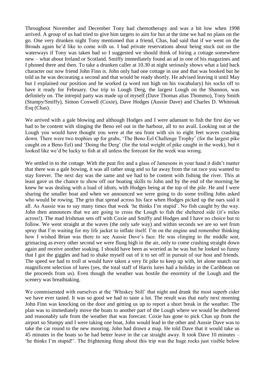Throughout November and December Tony had chemotherapy and was a bit low when 1998 arrived. A group of us had tried to give him targets to aim for but at the time we had no plans on the go. One very drunken night Tony mentioned that a friend, Chas, had said that if we went on the Broads again he"d like to come with us. I had private reservations about being stuck out on the waterways if Tony was taken bad so I suggested we should think of hiring a cottage somewhere new – what about Ireland or Scotland. Smiffy immediately found an ad in one of his magazines and I phoned there and then. To take a drunken caller at 10.30 at night seriously shows what a laid back character our now friend John Finn is. John only had one cottage in use and that was booked but he told us he was decorating a second and that would be ready shortly. He advised leaving it until May but I explained our position and he worked (a word not high on his vocabulary) his socks off to have it ready for February. Our trip to Lough Derg, the largest Lough on the Shannon, was definitely on. The intrepid party was made up of myself (Dave Thomas alias Thommo), Tony Smith (Stumpy/Smiffy), Simon Coxwell (Coxie), Dave Hodges (Aussie Dave) and Charles D. Whiteoak Esq (Chas).

We arrived with a gale blowing and although Hodges and I were adamant to fish the first day we had to be content with slinging the Beno eel out in the harbour, all to no avail. Looking out at the Lough you would have thought you were at the sea front with six to eight feet waves crashing down. There were two trophies up for grabs, "The Beno Eel Challenge Trophy" (for the largest pike caught on a Beno Eel) and "Doing the Derg" (for the total weight of pike caught in the week), but it looked like we"d be lucky to fish at all unless the forecast for the week was wrong.

We settled in to the cottage. With the peat fire and a glass of Jamesons in your hand it didn't matter that there was a gale bowing, it was all rather snug and so far away from the rat race you wanted to stay forever. The next day was the same and we had to be content with fishing the river. This at least gave us the chance to show off our boating skills to John and by the end of the morning he knew he was dealing with a load of idiots, with Hodges being at the top of the pile. He and I were sharing the smaller boat and when we announced we were going to do some trolling John asked who would be rowing. The grin that spread across his face when Hodges picked up the oars said it all. As Aussie was to say many times that week "he thinks I"m stupid". No fish caught by the way. John then announces that we are going to cross the Lough to fish the sheltered side (it"s miles across!). The mad Irishman sets off with Coxie and Smiffy and Hodges and I have no choice but to follow. We went straight at the waves (the only safe way) and within seconds we are so wet from spray that I'm waiting for my life jacket to inflate itself. I'm on the engine and remember thinking how I wished Brian was there to see Aussie Dave"s face. He was clinging to the middle seat, grimacing as every other second we were flung high in the air, only to come crashing straight down again and receive another soaking. I should have been as worried as he was but he looked so funny that I got the giggles and had to shake myself out of it to set off in pursuit of our host and friends. The speed we had to troll at would have taken a very fit pike to keep up with, let alone snatch our magnificent selection of lures (yes, the total staff of Harris lures had a holiday in the Caribbean on the proceeds from us). Even though the weather was hostile the enormity of the Lough and the scenery was breathtaking.

We commiserated with ourselves at the "Whiskey Still" that night and drank the most superb cider we have ever tasted. It was so good we had to taste a lot. The result was that early next morning John Finn was knocking on the door and getting us up to report a short break in the weather. The plan was to immediately move the boats to another part of the Lough where we would be sheltered and reasonably safe from the weather that was forecast. Coxie has gone to pick Chas up from the airport so Stumpy and I were taking one boat, John would lead in the other and Aussie Dave was to take the car round to the new mooring. John had drawn a map. He told Dave that it would take us 45 minutes in the boats so he had better leave in the car straight away. It took Dave 10 minutes – "he thinks I"m stupid!". The frightening thing about this trip was the huge rocks just visible below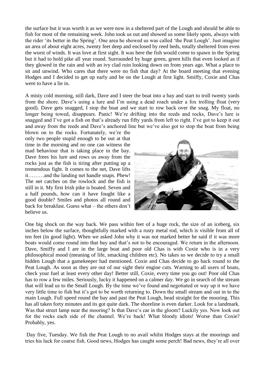the surface but it was worth it as we were now in a sheltered part of the Lough and should be able to fish for most of the remaining week. John took us out and showed us some likely spots, always with the rider "its better in the Spring". One area he showed us was called "the Peat Lough". Just imagine an area of about eight acres, twenty feet deep and enclosed by reed beds, totally sheltered from even the worst of winds. It was love at first sight. It was here the fish would come to spawn in the Spring but it had to hold pike all year round. Surrounded by huge green, green hills that even looked as if they glowed in the rain and with an ivy clad ruin looking down on from years ago. What a place to sit and unwind. Who cares that there were no fish that day? At the board meeting that evening Hodges and I decided to get up early and be on the Lough at first light. Smiffy, Coxie and Chas were to have a lie in.

A misty cold morning, still dark, Dave and I steer the boat into a bay and start to troll twenty yards from the shore. Dave"s using a lure and I"m using a dead roach under a fox trolling float (very good). Dave gets snagged, I stop the boat and we start to row back over the snag. My float, no longer being towed, disappears. Panic! We're drifting into the reeds and rocks, Dave's lure is snagged and I've got a fish on that's already run fifty vards from left to right. I've got to keep it out and away from the reeds and Dave's anchored line but we've also got to stop the boat from being

blown on to the rocks. Fortunately, we"re the only two people stupid enough to be out at that time in the morning and no one can witness the mad behaviour that is taking place in the bay. Dave frees his lure and rows us away from the rocks just as the fish is tiring after putting up a tremendous fight. It comes to the net, Dave lifts it………and the landing net handle snaps. Phew! The net catches on the rowlock and the fish is still in it. My first Irish pike is boated. Seven and a half pounds, how can it have fought like a good double? Smiles and photos all round and back for breakfast. Guess what – the others don"t believe us.



One big shock on the way back. We pass within feet of a huge rock, the size of an iceberg, six inches below the surface, thoughtfully marked with a rusty metal rod, which is visible from all of ten feet (in good light). When we asked John why it was not marked better he said if it was more boats would come round into that bay and that's not to be encouraged. We return in the afternoon. Dave, Smiffy and I are in the large boat and poor old Chas is with Coxie who is in a very philosophical mood (meaning of life, smacking children etc). No takes so we decide to try a small hidden Lough that a gamekeeper had mentioned. Coxie and Chas decide to go back round to the Peat Lough. As soon as they are out of our sight their engine cuts. Warning to all users of boats, check your fuel at least every other day! Better still, Coxie, every time you go out! Poor old Chas has to row a few miles. Seriously, lucky it happened on a calmer day. We go in search of the stream that will lead us to the Small Lough. By the time we"ve found and negotiated or way up it we have very little time to fish but it"s got to be worth returning to. Down the small stream and out in to the main Lough. Full speed round the bay and past the Peat Lough, head straight for the mooring. This has all taken forty minutes and its got quite dark. The shoreline is even darker. Look for a landmark. Was that street lamp near the mooring? Is that Dave's car in the gloom? Luckily yes. Now look out for the rocks each side of the channel. We"re back! What bloody idiots! Worse than Coxie? Probably, yes.

Day five, Tuesday. We fish the Peat Lough to no avail whilst Hodges stays at the moorings and tries his luck for coarse fish. Good news, Hodges has caught some perch! Bad news, they"re all over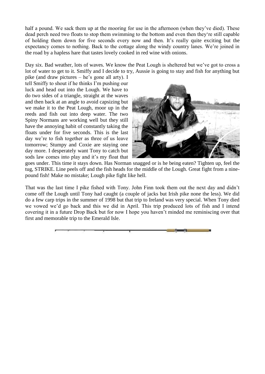half a pound. We sack them up at the mooring for use in the afternoon (when they've died). These dead perch need two floats to stop them swimming to the bottom and even then they"re still capable of holding them down for five seconds every now and then. It"s really quite exciting but the expectancy comes to nothing. Back to the cottage along the windy country lanes. We"re joined in the road by a hapless hare that tastes lovely cooked in red wine with onions.

Day six. Bad weather, lots of waves. We know the Peat Lough is sheltered but we've got to cross a lot of water to get to it. Smiffy and I decide to try, Aussie is going to stay and fish for anything but

pike (and draw pictures – he"s gone all arty). I tell Smiffy to shout if he thinks I"m pushing our luck and head out into the Lough. We have to do two sides of a triangle, straight at the waves and then back at an angle to avoid capsizing but we make it to the Peat Lough, moor up in the reeds and fish out into deep water. The two Spiny Normans are working well but they still have the annoying habit of constantly taking the floats under for five seconds. This is the last day we"re to fish together as three of us leave tomorrow; Stumpy and Coxie are staying one day more. I desperately want Tony to catch but sods law comes into play and it's my float that



goes under. This time it stays down. Has Norman snagged or is he being eaten? Tighten up, feel the tug, STRIKE. Line peels off and the fish heads for the middle of the Lough. Great fight from a ninepound fish! Make no mistake; Lough pike fight like hell.

That was the last time I pike fished with Tony. John Finn took them out the next day and didn"t come off the Lough until Tony had caught (a couple of jacks but Irish pike none the less). We did do a few carp trips in the summer of 1998 but that trip to Ireland was very special. When Tony died we vowed we"d go back and this we did in April. This trip produced lots of fish and I intend covering it in a future Drop Back but for now I hope you haven"t minded me reminiscing over that first and memorable trip to the Emerald Isle.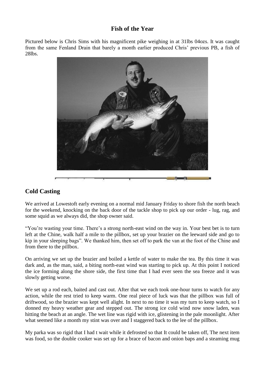### **Fish of the Year**

Pictured below is Chris Sims with his magnificent pike weighing in at 31lbs 04ozs. It was caught from the same Fenland Drain that barely a month earlier produced Chris" previous PB, a fish of 28lbs.



## **Cold Casting**

We arrived at Lowestoft early evening on a normal mid January Friday to shore fish the north beach for the weekend, knocking on the back door of the tackle shop to pick up our order - lug, rag, and some squid as we always did, the shop owner said.

"You"re wasting your time. There"s a strong north-east wind on the way in. Your best bet is to turn left at the Chine, walk half a mile to the pillbox, set up your brazier on the leeward side and go to kip in your sleeping bags". We thanked him, then set off to park the van at the foot of the Chine and from there to the pillbox.

On arriving we set up the brazier and boiled a kettle of water to make the tea. By this time it was dark and, as the man, said, a biting north-east wind was starting to pick up. At this point I noticed the ice forming along the shore side, the first time that I had ever seen the sea freeze and it was slowly getting worse.

We set up a rod each, baited and cast out. After that we each took one-hour turns to watch for any action, while the rest tried to keep warm. One real piece of luck was that the pillbox was full of driftwood, so the brazier was kept well alight. In next to no time it was my turn to keep watch, so I donned my heavy weather gear and stepped out. The strong ice cold wind now snow laden, was hitting the beach at an angle. The wet line was rigid with ice, glistening in the pale moonlight. After what seemed like a month my stint was over and I staggered back to the lee of the pillbox.

My parka was so rigid that I had t wait while it defrosted so that It could be taken off, The next item was food, so the double cooker was set up for a brace of bacon and onion baps and a steaming mug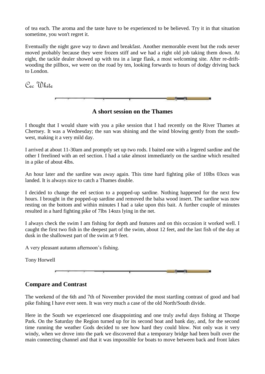of tea each. The aroma and the taste have to be experienced to be believed. Try it in that situation sometime, you won't regret it.

Eventually the night gave way to dawn and breakfast. Another memorable event but the rods never moved probably because they were frozen stiff and we had a right old job taking them down. At eight, the tackle dealer showed up with tea in a large flask, a most welcoming site. After re-driftwooding the pillbox, we were on the road by ten, looking forwards to hours of dodgy driving back to London.

Cec White



**A short session on the Thames**

I thought that I would share with you a pike session that I had recently on the River Thames at Chertsey. It was a Wednesday; the sun was shining and the wind blowing gently from the southwest, making it a very mild day.

I arrived at about 11-30am and promptly set up two rods. I baited one with a legered sardine and the other I freelined with an eel section. I had a take almost immediately on the sardine which resulted in a pike of about 4lbs.

An hour later and the sardine was away again. This time hard fighting pike of 10lbs 03ozs was landed. It is always nice to catch a Thames double.

I decided to change the eel section to a popped-up sardine. Nothing happened for the next few hours. I brought in the popped-up sardine and removed the balsa wood insert. The sardine was now resting on the bottom and within minutes I had a take upon this bait. A further couple of minutes resulted in a hard fighting pike of 7lbs 14ozs lying in the net.

I always check the swim I am fishing for depth and features and on this occasion it worked well. I caught the first two fish in the deepest part of the swim, about 12 feet, and the last fish of the day at dusk in the shallowest part of the swim at 9 feet.

A very pleasant autumn afternoon"s fishing.

Tony Horwell



# **Compare and Contrast**

The weekend of the 6th and 7th of November provided the most startling contrast of good and bad pike fishing I have ever seen. It was very much a case of the old North/South divide.

Here in the South we experienced one disappointing and one truly awful days fishing at Thorpe Park. On the Saturday the Region turned up for its second boat and bank day, and, for the second time running the weather Gods decided to see how hard they could blow. Not only was it very windy, when we drove into the park we discovered that a temporary bridge had been built over the main connecting channel and that it was impossible for boats to move between back and front lakes